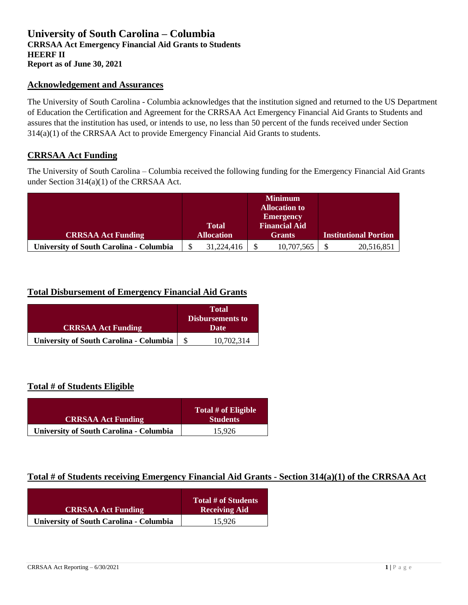## **University of South Carolina – Columbia CRRSAA Act Emergency Financial Aid Grants to Students HEERF II Report as of June 30, 2021**

#### **Acknowledgement and Assurances**

The University of South Carolina - Columbia acknowledges that the institution signed and returned to the US Department of Education the Certification and Agreement for the CRRSAA Act Emergency Financial Aid Grants to Students and assures that the institution has used, or intends to use, no less than 50 percent of the funds received under Section 314(a)(1) of the CRRSAA Act to provide Emergency Financial Aid Grants to students.

### **CRRSAA Act Funding**

The University of South Carolina – Columbia received the following funding for the Emergency Financial Aid Grants under Section 314(a)(1) of the CRRSAA Act.

|                                                |                   |              |               | <b>Minimum</b>       |                              |            |
|------------------------------------------------|-------------------|--------------|---------------|----------------------|------------------------------|------------|
|                                                |                   |              |               | <b>Allocation to</b> |                              |            |
|                                                |                   |              |               | <b>Emergency</b>     |                              |            |
|                                                |                   | <b>Total</b> |               | <b>Financial Aid</b> |                              |            |
| <b>CRRSAA Act Funding</b>                      | <b>Allocation</b> |              | <b>Grants</b> |                      | <b>Institutional Portion</b> |            |
| <b>University of South Carolina - Columbia</b> |                   | 31,224,416   |               | 10,707,565           |                              | 20,516,851 |

### **Total Disbursement of Emergency Financial Aid Grants**

| <b>CRRSAA Act Funding</b>                      |  | <b>Total</b><br><b>Disbursements to</b><br>Date |  |
|------------------------------------------------|--|-------------------------------------------------|--|
| <b>University of South Carolina - Columbia</b> |  | 10,702,314                                      |  |

### **Total # of Students Eligible**

| <b>CRRSAA Act Funding</b>                      | Total # of Eligible<br><b>Students</b> |
|------------------------------------------------|----------------------------------------|
| <b>University of South Carolina - Columbia</b> | 15.926                                 |

## **Total # of Students receiving Emergency Financial Aid Grants - Section 314(a)(1) of the CRRSAA Act**

| <b>CRRSAA Act Funding</b>                      | Total # of Students<br><b>Receiving Aid</b> |
|------------------------------------------------|---------------------------------------------|
| <b>University of South Carolina - Columbia</b> | 15.926                                      |